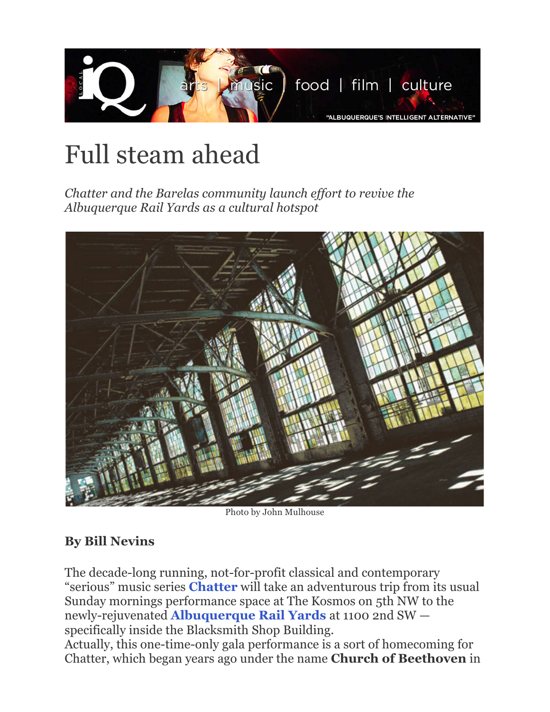

## Full steam ahead

*Chatter and the Barelas community launch effort to revive the Albuquerque Rail Yards as a cultural hotspot*



Photo by John Mulhouse

## **By Bill Nevins**

The decade-long running, not-for-profit classical and contemporary "serious" music series **Chatter** will take an adventurous trip from its usual Sunday mornings performance space at The Kosmos on 5th NW to the newly-rejuvenated **Albuquerque Rail Yards** at 1100 2nd SW specifically inside the Blacksmith Shop Building. Actually, this one-time-only gala performance is a sort of homecoming for Chatter, which began years ago under the name **Church of Beethoven** in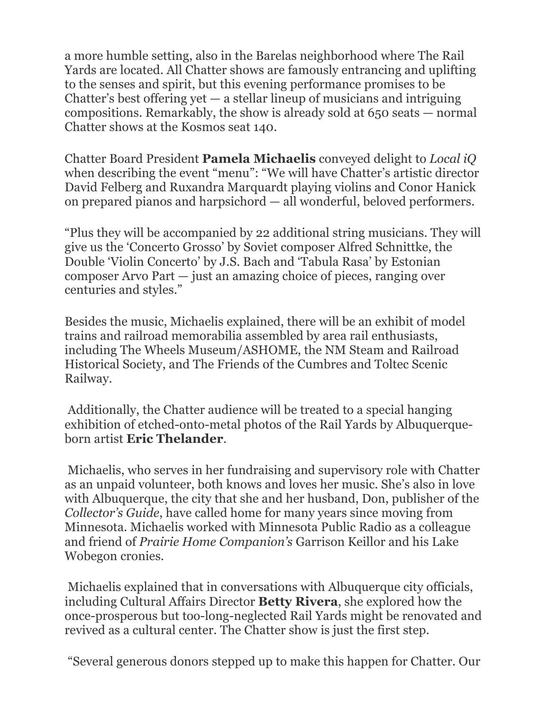a more humble setting, also in the Barelas neighborhood where The Rail Yards are located. All Chatter shows are famously entrancing and uplifting to the senses and spirit, but this evening performance promises to be Chatter's best offering yet  $-$  a stellar lineup of musicians and intriguing compositions. Remarkably, the show is already sold at 650 seats — normal Chatter shows at the Kosmos seat 140.

Chatter Board President **Pamela Michaelis** conveyed delight to *Local iQ* when describing the event "menu": "We will have Chatter's artistic director David Felberg and Ruxandra Marquardt playing violins and Conor Hanick on prepared pianos and harpsichord — all wonderful, beloved performers.

"Plus they will be accompanied by 22 additional string musicians. They will give us the 'Concerto Grosso' by Soviet composer Alfred Schnittke, the Double 'Violin Concerto' by J.S. Bach and 'Tabula Rasa' by Estonian composer Arvo Part — just an amazing choice of pieces, ranging over centuries and styles."

Besides the music, Michaelis explained, there will be an exhibit of model trains and railroad memorabilia assembled by area rail enthusiasts, including The Wheels Museum/ASHOME, the NM Steam and Railroad Historical Society, and The Friends of the Cumbres and Toltec Scenic Railway.

Additionally, the Chatter audience will be treated to a special hanging exhibition of etched-onto-metal photos of the Rail Yards by Albuquerqueborn artist **Eric Thelander**.

Michaelis, who serves in her fundraising and supervisory role with Chatter as an unpaid volunteer, both knows and loves her music. She's also in love with Albuquerque, the city that she and her husband, Don, publisher of the *Collector's Guide*, have called home for many years since moving from Minnesota. Michaelis worked with Minnesota Public Radio as a colleague and friend of *Prairie Home Companion's* Garrison Keillor and his Lake Wobegon cronies.

Michaelis explained that in conversations with Albuquerque city officials, including Cultural Affairs Director **Betty Rivera**, she explored how the once-prosperous but too-long-neglected Rail Yards might be renovated and revived as a cultural center. The Chatter show is just the first step.

"Several generous donors stepped up to make this happen for Chatter. Our